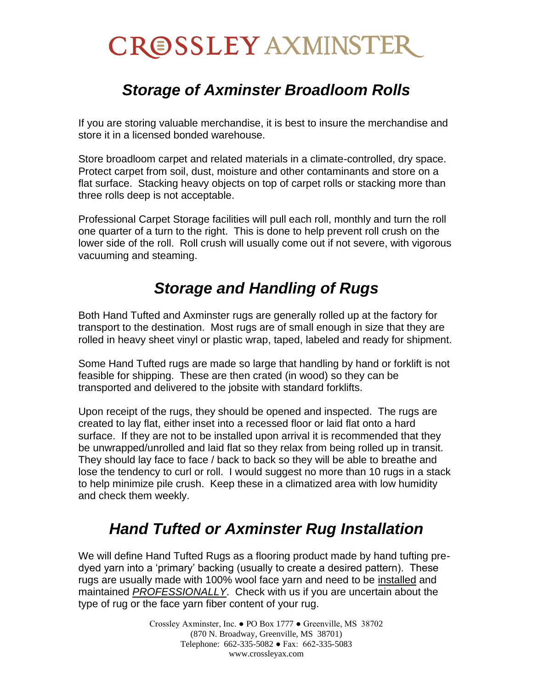# **CROSSLEY AXMINSTER**

## *Storage of Axminster Broadloom Rolls*

If you are storing valuable merchandise, it is best to insure the merchandise and store it in a licensed bonded warehouse.

Store broadloom carpet and related materials in a climate-controlled, dry space. Protect carpet from soil, dust, moisture and other contaminants and store on a flat surface. Stacking heavy objects on top of carpet rolls or stacking more than three rolls deep is not acceptable.

Professional Carpet Storage facilities will pull each roll, monthly and turn the roll one quarter of a turn to the right. This is done to help prevent roll crush on the lower side of the roll. Roll crush will usually come out if not severe, with vigorous vacuuming and steaming.

## *Storage and Handling of Rugs*

Both Hand Tufted and Axminster rugs are generally rolled up at the factory for transport to the destination. Most rugs are of small enough in size that they are rolled in heavy sheet vinyl or plastic wrap, taped, labeled and ready for shipment.

Some Hand Tufted rugs are made so large that handling by hand or forklift is not feasible for shipping. These are then crated (in wood) so they can be transported and delivered to the jobsite with standard forklifts.

Upon receipt of the rugs, they should be opened and inspected. The rugs are created to lay flat, either inset into a recessed floor or laid flat onto a hard surface. If they are not to be installed upon arrival it is recommended that they be unwrapped/unrolled and laid flat so they relax from being rolled up in transit. They should lay face to face / back to back so they will be able to breathe and lose the tendency to curl or roll. I would suggest no more than 10 rugs in a stack to help minimize pile crush. Keep these in a climatized area with low humidity and check them weekly.

## *Hand Tufted or Axminster Rug Installation*

We will define Hand Tufted Rugs as a flooring product made by hand tufting predyed yarn into a 'primary' backing (usually to create a desired pattern). These rugs are usually made with 100% wool face yarn and need to be installed and maintained *PROFESSIONALLY*. Check with us if you are uncertain about the type of rug or the face yarn fiber content of your rug.

> Crossley Axminster, Inc. ● PO Box 1777 ● Greenville, MS 38702 (870 N. Broadway, Greenville, MS 38701) Telephone: 662-335-5082 ● Fax: 662-335-5083 www.crossleyax.com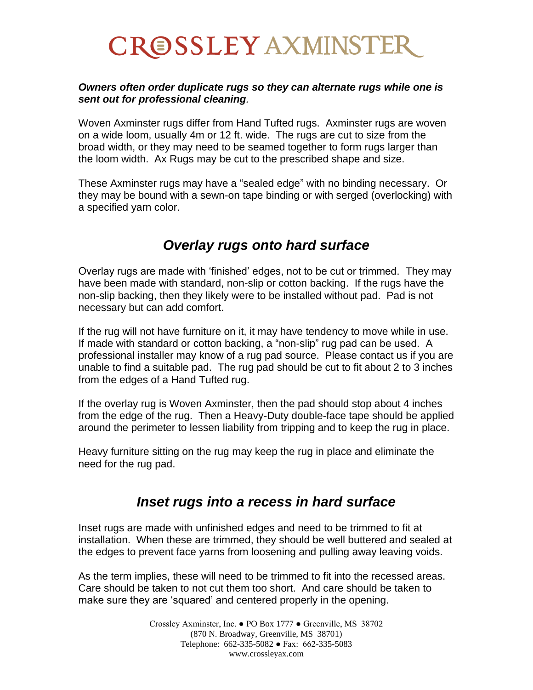# **CROSSLEY AXMINSTER**

#### *Owners often order duplicate rugs so they can alternate rugs while one is sent out for professional cleaning.*

Woven Axminster rugs differ from Hand Tufted rugs. Axminster rugs are woven on a wide loom, usually 4m or 12 ft. wide. The rugs are cut to size from the broad width, or they may need to be seamed together to form rugs larger than the loom width. Ax Rugs may be cut to the prescribed shape and size.

These Axminster rugs may have a "sealed edge" with no binding necessary. Or they may be bound with a sewn-on tape binding or with serged (overlocking) with a specified yarn color.

### *Overlay rugs onto hard surface*

Overlay rugs are made with 'finished' edges, not to be cut or trimmed. They may have been made with standard, non-slip or cotton backing. If the rugs have the non-slip backing, then they likely were to be installed without pad. Pad is not necessary but can add comfort.

If the rug will not have furniture on it, it may have tendency to move while in use. If made with standard or cotton backing, a "non-slip" rug pad can be used. A professional installer may know of a rug pad source. Please contact us if you are unable to find a suitable pad. The rug pad should be cut to fit about 2 to 3 inches from the edges of a Hand Tufted rug.

If the overlay rug is Woven Axminster, then the pad should stop about 4 inches from the edge of the rug. Then a Heavy-Duty double-face tape should be applied around the perimeter to lessen liability from tripping and to keep the rug in place.

Heavy furniture sitting on the rug may keep the rug in place and eliminate the need for the rug pad.

### *Inset rugs into a recess in hard surface*

Inset rugs are made with unfinished edges and need to be trimmed to fit at installation. When these are trimmed, they should be well buttered and sealed at the edges to prevent face yarns from loosening and pulling away leaving voids.

As the term implies, these will need to be trimmed to fit into the recessed areas. Care should be taken to not cut them too short. And care should be taken to make sure they are 'squared' and centered properly in the opening.

> Crossley Axminster, Inc. ● PO Box 1777 ● Greenville, MS 38702 (870 N. Broadway, Greenville, MS 38701) Telephone: 662-335-5082 ● Fax: 662-335-5083 www.crossleyax.com